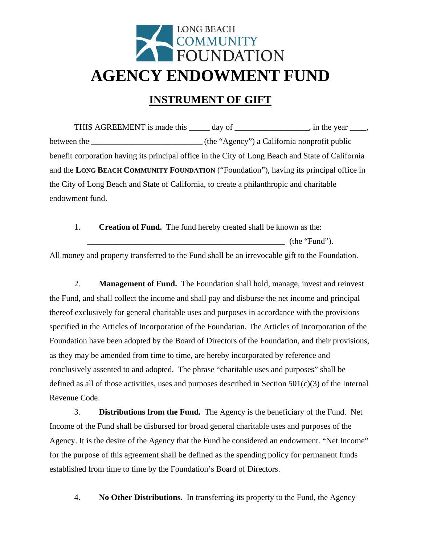## LONG BEACH<br>COMMUNITY<br>FOUNDATION **AGENCY ENDOWMENT FUND**

## **INSTRUMENT OF GIFT**

THIS AGREEMENT is made this \_\_\_\_\_ day of \_\_\_\_\_\_\_\_\_\_\_\_\_\_\_, in the year \_\_\_\_, between the **\_\_\_\_\_\_\_\_\_\_\_\_\_\_\_\_\_\_\_\_** (the "Agency") a California nonprofit public benefit corporation having its principal office in the City of Long Beach and State of California and the **LONG BEACH COMMUNITY FOUNDATION** ("Foundation"), having its principal office in the City of Long Beach and State of California, to create a philanthropic and charitable endowment fund.

1. **Creation of Fund.** The fund hereby created shall be known as the: **\_\_\_\_\_\_\_\_\_\_\_\_\_\_\_\_\_\_\_\_\_\_\_\_\_\_\_\_\_\_\_\_\_\_\_\_\_\_\_\_\_\_\_\_\_\_\_\_** (the "Fund").

All money and property transferred to the Fund shall be an irrevocable gift to the Foundation.

2. **Management of Fund.** The Foundation shall hold, manage, invest and reinvest the Fund, and shall collect the income and shall pay and disburse the net income and principal thereof exclusively for general charitable uses and purposes in accordance with the provisions specified in the Articles of Incorporation of the Foundation. The Articles of Incorporation of the Foundation have been adopted by the Board of Directors of the Foundation, and their provisions, as they may be amended from time to time, are hereby incorporated by reference and conclusively assented to and adopted. The phrase "charitable uses and purposes" shall be defined as all of those activities, uses and purposes described in Section  $501(c)(3)$  of the Internal Revenue Code.

3. **Distributions from the Fund.** The Agency is the beneficiary of the Fund. Net Income of the Fund shall be disbursed for broad general charitable uses and purposes of the Agency. It is the desire of the Agency that the Fund be considered an endowment. "Net Income" for the purpose of this agreement shall be defined as the spending policy for permanent funds established from time to time by the Foundation's Board of Directors.

4. **No Other Distributions.** In transferring its property to the Fund, the Agency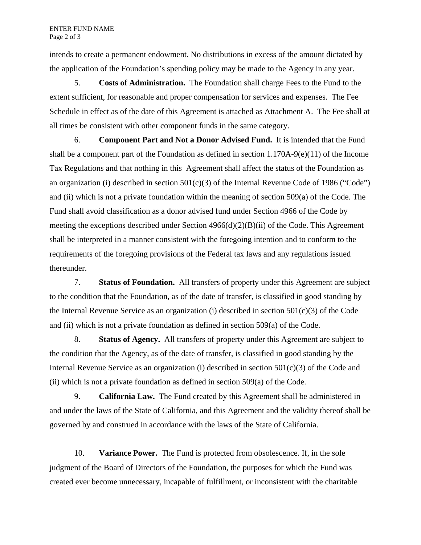intends to create a permanent endowment. No distributions in excess of the amount dictated by the application of the Foundation's spending policy may be made to the Agency in any year.

5. **Costs of Administration.** The Foundation shall charge Fees to the Fund to the extent sufficient, for reasonable and proper compensation for services and expenses. The Fee Schedule in effect as of the date of this Agreement is attached as Attachment A. The Fee shall at all times be consistent with other component funds in the same category.

6. **Component Part and Not a Donor Advised Fund.** It is intended that the Fund shall be a component part of the Foundation as defined in section  $1.170A-9(e)(11)$  of the Income Tax Regulations and that nothing in this Agreement shall affect the status of the Foundation as an organization (i) described in section  $501(c)(3)$  of the Internal Revenue Code of 1986 ("Code") and (ii) which is not a private foundation within the meaning of section 509(a) of the Code. The Fund shall avoid classification as a donor advised fund under Section 4966 of the Code by meeting the exceptions described under Section 4966(d)(2)(B)(ii) of the Code. This Agreement shall be interpreted in a manner consistent with the foregoing intention and to conform to the requirements of the foregoing provisions of the Federal tax laws and any regulations issued thereunder.

7. **Status of Foundation.** All transfers of property under this Agreement are subject to the condition that the Foundation, as of the date of transfer, is classified in good standing by the Internal Revenue Service as an organization (i) described in section  $501(c)(3)$  of the Code and (ii) which is not a private foundation as defined in section 509(a) of the Code.

8. **Status of Agency.** All transfers of property under this Agreement are subject to the condition that the Agency, as of the date of transfer, is classified in good standing by the Internal Revenue Service as an organization (i) described in section  $501(c)(3)$  of the Code and (ii) which is not a private foundation as defined in section 509(a) of the Code.

9. **California Law.** The Fund created by this Agreement shall be administered in and under the laws of the State of California, and this Agreement and the validity thereof shall be governed by and construed in accordance with the laws of the State of California.

10. **Variance Power.** The Fund is protected from obsolescence. If, in the sole judgment of the Board of Directors of the Foundation, the purposes for which the Fund was created ever become unnecessary, incapable of fulfillment, or inconsistent with the charitable